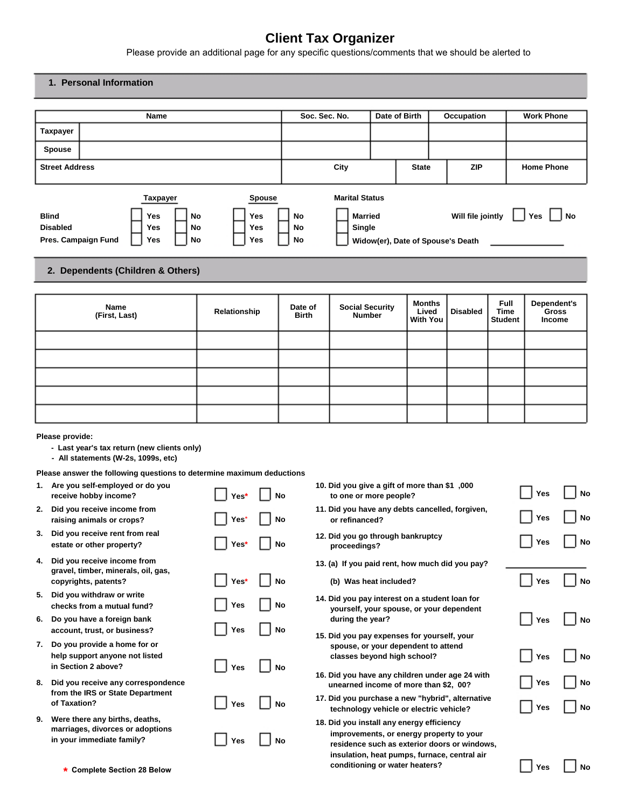# **Client Tax Organizer**

Please provide an additional page for any specific questions/comments that we should be alerted to

#### **1. Personal Information**

|                                 |                     | Name                                        |                |                                    |                | Soc. Sec. No.                                     | Date of Birth | Occupation                                             | <b>Work Phone</b> |
|---------------------------------|---------------------|---------------------------------------------|----------------|------------------------------------|----------------|---------------------------------------------------|---------------|--------------------------------------------------------|-------------------|
| Taxpayer                        |                     |                                             |                |                                    |                |                                                   |               |                                                        |                   |
| <b>Spouse</b>                   |                     |                                             |                |                                    |                |                                                   |               |                                                        |                   |
| <b>Street Address</b>           |                     |                                             |                |                                    |                | City                                              | <b>State</b>  | <b>ZIP</b>                                             | <b>Home Phone</b> |
| <b>Blind</b><br><b>Disabled</b> | Pres. Campaign Fund | <b>Taxpayer</b><br><b>Yes</b><br>Yes<br>Yes | No<br>No<br>No | <b>Spouse</b><br>Yes<br>Yes<br>Yes | No<br>No<br>No | <b>Marital Status</b><br><b>Married</b><br>Single |               | Will file jointly<br>Widow(er), Date of Spouse's Death | No<br>Yes         |

### **2. Dependents (Children & Others)**

| Name<br>(First, Last) | Relationship | Date of<br><b>Birth</b> | <b>Social Security<br/>Number</b> | <b>Months</b><br>Lived<br>With You | <b>Disabled</b> | <b>Full</b><br>Time<br><b>Student</b> | Dependent's<br>Gross<br>Income |
|-----------------------|--------------|-------------------------|-----------------------------------|------------------------------------|-----------------|---------------------------------------|--------------------------------|
|                       |              |                         |                                   |                                    |                 |                                       |                                |
|                       |              |                         |                                   |                                    |                 |                                       |                                |
|                       |              |                         |                                   |                                    |                 |                                       |                                |
|                       |              |                         |                                   |                                    |                 |                                       |                                |
|                       |              |                         |                                   |                                    |                 |                                       |                                |

#### **Please provide:**

- **Last year's tax return (new clients only)**
- **All statements (W-2s, 1099s, etc)**

#### **Please answer the following questions to determine maximum deductions**

| 1. | Are you self-employed or do you<br>receive hobby income?                                        | Yes* |           |
|----|-------------------------------------------------------------------------------------------------|------|-----------|
| 2. | Did you receive income from<br>raising animals or crops?                                        | Yes* | <b>No</b> |
| 3. | Did you receive rent from real<br>estate or other property?                                     | Yes* | <b>No</b> |
| 4. | Did you receive income from<br>gravel, timber, minerals, oil, gas,<br>copyrights, patents?      | Yes* | <b>No</b> |
| 5. | Did you withdraw or write<br>checks from a mutual fund?                                         | Yes  | <b>No</b> |
| 6. | Do you have a foreign bank<br>account, trust, or business?                                      | Yes  | <b>No</b> |
| 7. | Do you provide a home for or<br>help support anyone not listed<br>in Section 2 above?           | Yes  | <b>No</b> |
| 8. | Did you receive any correspondence<br>from the IRS or State Department<br>of Taxation?          | Yes  | <b>No</b> |
| 9. | Were there any births, deaths,<br>marriages, divorces or adoptions<br>in your immediate family? | Yes  | No        |

| 10. Did you give a gift of more than \$1,000<br>to one or more people?                                                                | Yes        | <b>No</b> |
|---------------------------------------------------------------------------------------------------------------------------------------|------------|-----------|
| 11. Did you have any debts cancelled, forgiven,<br>or refinanced?                                                                     | Yes        | <b>No</b> |
| 12. Did you go through bankruptcy<br>proceedings?                                                                                     | Yes        | No        |
| 13. (a) If you paid rent, how much did you pay?                                                                                       |            |           |
| (b) Was heat included?                                                                                                                | Yes        | <b>No</b> |
| 14. Did you pay interest on a student loan for<br>yourself, your spouse, or your dependent<br>during the year?                        | Yes        | <b>No</b> |
| 15. Did you pay expenses for yourself, your<br>spouse, or your dependent to attend<br>classes beyond high school?                     | Yes        | No        |
| 16. Did you have any children under age 24 with<br>unearned income of more than \$2, 00?                                              | Yes        | No        |
| 17. Did you purchase a new "hybrid", alternative<br>technology vehicle or electric vehicle?                                           | <b>Yes</b> | <b>No</b> |
| 18. Did you install any energy efficiency<br>improvements, or energy property to your<br>residence such as exterior doors or windows, |            |           |

**insulation, heat pumps, furnace, central air**

**conditioning or water heaters?**

|  | ∕es: |  | N٥ |
|--|------|--|----|
|--|------|--|----|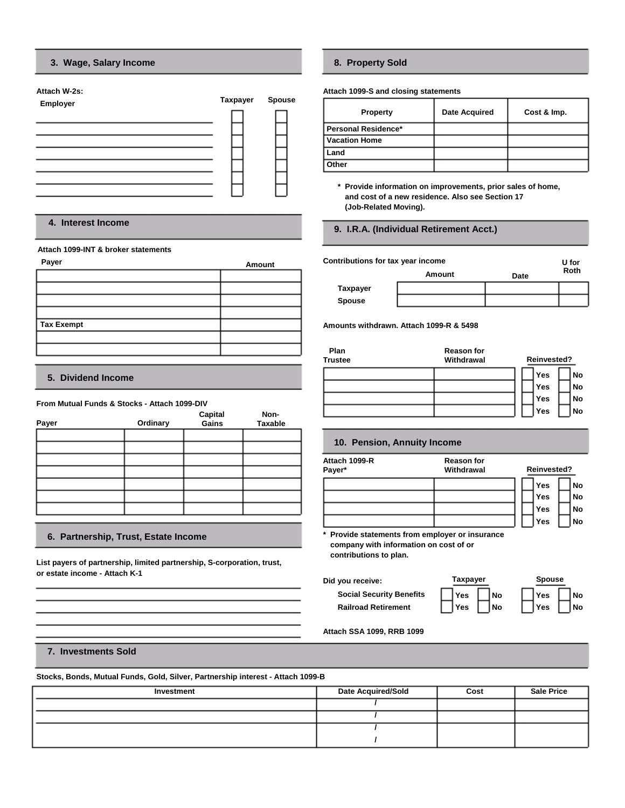#### **3. Wage, Salary Income**

| Attach W-2s:    |                 |               |
|-----------------|-----------------|---------------|
| <b>Employer</b> | <b>Taxpayer</b> | <b>Spouse</b> |
|                 |                 |               |
|                 |                 |               |
|                 |                 |               |
|                 |                 |               |
|                 |                 |               |
|                 |                 |               |
|                 |                 |               |
|                 |                 |               |
|                 |                 |               |
|                 |                 |               |
|                 |                 |               |

#### **4. Interest Income**

#### **Attach 1099-INT & broker statements**

| Payer      | Amount |
|------------|--------|
|            |        |
|            |        |
|            |        |
|            |        |
| Tax Exempt |        |
|            |        |
|            |        |

#### **5. Dividend Income**

#### **From Mutual Funds & Stocks - Attach 1099-DIV**

| Payer | Ordinary | Capital<br>Gains | Non-<br><b>Taxable</b> |
|-------|----------|------------------|------------------------|
|       |          |                  |                        |
|       |          |                  |                        |
|       |          |                  |                        |
|       |          |                  |                        |
|       |          |                  |                        |
|       |          |                  |                        |
|       |          |                  |                        |

#### **6. Partnership, Trust, Estate Income**

**List payers of partnership, limited partnership, S-corporation, trust, or estate income - Attach K-1** 

### **8. Property Sold**

**Attach 1099-S and closing statements** 

| <b>Property</b>       | <b>Date Acquired</b> | Cost & Imp. |
|-----------------------|----------------------|-------------|
| l Personal Residence* |                      |             |
| l Vacation Home       |                      |             |
| l Land                |                      |             |
| Other                 |                      |             |

**\* Provide information on improvements, prior sales of home, and cost of a new residence. Also see Section 17 (Job-Related Moving).**

#### **9. I.R.A. (Individual Retirement Acct.)**

| <b>Contributions for tax year income</b> |        | U for |             |
|------------------------------------------|--------|-------|-------------|
|                                          | Amount | Date  | <b>Roth</b> |
| Taxpayer                                 |        |       |             |
| <b>Spouse</b>                            |        |       |             |

**Amounts withdrawn. Attach 1099-R & 5498** 

| Plan<br><b>Trustee</b> | <b>Reason for</b><br>Withdrawal | Reinvested? |           |
|------------------------|---------------------------------|-------------|-----------|
|                        |                                 | Yes         | No        |
|                        |                                 | Yes         | <b>No</b> |
|                        |                                 | Yes         | No        |
|                        |                                 | Yes         | No        |

#### **10. Pension, Annuity Income**

| Attach 1099-R<br>Payer* | <b>Reason for</b><br>Withdrawal | Reinvested? |           |  |  |
|-------------------------|---------------------------------|-------------|-----------|--|--|
|                         |                                 | Yes         | No        |  |  |
|                         |                                 | Yes         | <b>No</b> |  |  |
|                         |                                 | Yes         | <b>No</b> |  |  |
|                         |                                 | Yes         | <b>No</b> |  |  |

**Taxpayer Yes Yes** 

**\* Provide statements from employer or insurance company with information on cost of or contributions to plan.**

**Did you receive:** 

**Social Security Benefits Railroad Retirement** 

|    | <b>Spouse</b> |    |
|----|---------------|----|
| No | Yes           | No |
| No | Yes           | No |

**Attach SSA 1099, RRB 1099** 

#### **7. Investments Sold**

**Stocks, Bonds, Mutual Funds, Gold, Silver, Partnership interest - Attach 1099-B** 

| Investment | <b>Date Acquired/Sold</b> | Cost | <b>Sale Price</b> |
|------------|---------------------------|------|-------------------|
|            |                           |      |                   |
|            |                           |      |                   |
|            |                           |      |                   |
|            |                           |      |                   |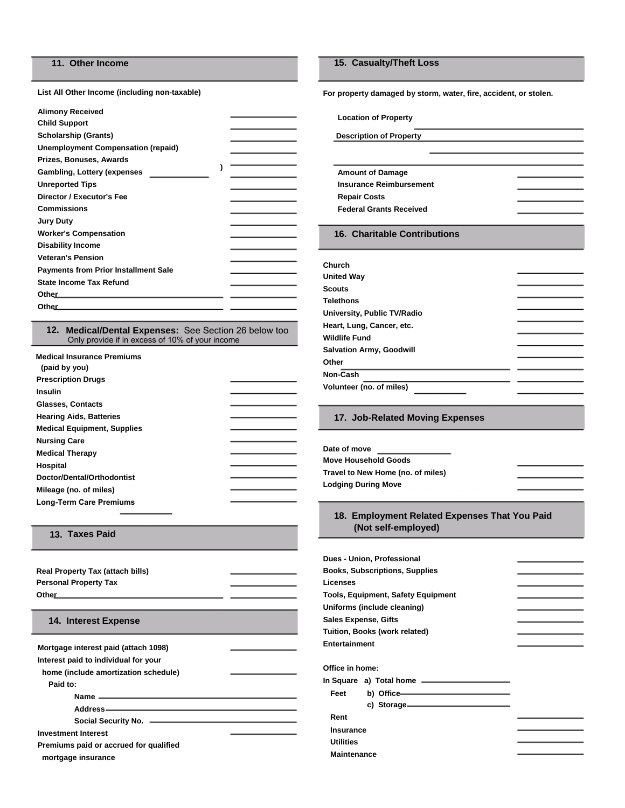### **11. Other Income**

**List All Other Income (including non-taxable)** 

| <b>Alimony Received</b>                               |  |
|-------------------------------------------------------|--|
| <b>Child Support</b>                                  |  |
| <b>Scholarship (Grants)</b>                           |  |
| <b>Unemployment Compensation (repaid)</b>             |  |
| Prizes, Bonuses, Awards                               |  |
| <b>Gambling, Lottery (expenses)</b>                   |  |
| <b>Unreported Tips</b>                                |  |
| Director / Executor's Fee                             |  |
| <b>Commissions</b>                                    |  |
| Jury Duty                                             |  |
| <b>Worker's Compensation</b>                          |  |
| <b>Disability Income</b>                              |  |
| <b>Veteran's Pension</b>                              |  |
| <b>Payments from Prior Installment Sale</b>           |  |
| <b>State Income Tax Refund</b>                        |  |
| Other<br>the control of the control of the control of |  |
| Other                                                 |  |
|                                                       |  |

**12. Medical/Dental Expenses:** See Section 26 below too Only provide if in excess of 10% of your income

| <b>Medical Insurance Premiums</b><br>(paid by you) |  |
|----------------------------------------------------|--|
| <b>Prescription Drugs</b>                          |  |
| Insulin                                            |  |
| Glasses, Contacts                                  |  |
| <b>Hearing Aids, Batteries</b>                     |  |
| <b>Medical Equipment, Supplies</b>                 |  |
| <b>Nursing Care</b>                                |  |
| <b>Medical Therapy</b>                             |  |
| Hospital                                           |  |
| Doctor/Dental/Orthodontist                         |  |
| Mileage (no. of miles)                             |  |
| <b>Long-Term Care Premiums</b>                     |  |

| <b>Real Property Tax (attach bills)</b><br><b>Personal Property Tax</b> | the control of the control of |  |  |
|-------------------------------------------------------------------------|-------------------------------|--|--|
| 14. Interest Expense                                                    |                               |  |  |
| Mortgage interest paid (attach 1098)                                    |                               |  |  |
| Interest paid to individual for your                                    |                               |  |  |
| home (include amortization schedule)                                    |                               |  |  |
| Paid to:                                                                |                               |  |  |
|                                                                         |                               |  |  |
|                                                                         |                               |  |  |
|                                                                         |                               |  |  |
| <b>Investment Interest</b>                                              |                               |  |  |
| Premiums paid or accrued for qualified                                  |                               |  |  |
| mortgage insurance                                                      |                               |  |  |

#### **15. Casualty/Theft Loss**

**For property damaged by storm, water, fire, accident, or stolen.** 

**Location of Property** 

**Description of Property** 

### **Amount of Damage Insurance Reimbursement Repair Costs Federal Grants Received**

#### **16. Charitable Contributions**

| Church                          |  |
|---------------------------------|--|
| <b>United Way</b>               |  |
| <b>Scouts</b>                   |  |
| <b>Telethons</b>                |  |
| University, Public TV/Radio     |  |
| Heart, Lung, Cancer, etc.       |  |
| <b>Wildlife Fund</b>            |  |
| <b>Salvation Army, Goodwill</b> |  |
| Other                           |  |
| Non-Cash                        |  |
| Volunteer (no. of miles)        |  |

#### **17. Job-Related Moving Expenses**

| Date of move                      |
|-----------------------------------|
| <b>Move Household Goods</b>       |
| Travel to New Home (no. of miles) |
| <b>Lodging During Move</b>        |

## **18. Employment Related Expenses That You Paid (Not self-employed) 13. Taxes Paid**

| Dues - Union, Professional                |  |
|-------------------------------------------|--|
| <b>Books, Subscriptions, Supplies</b>     |  |
| Licenses                                  |  |
| <b>Tools, Equipment, Safety Equipment</b> |  |
| Uniforms (include cleaning)               |  |
| <b>Sales Expense, Gifts</b>               |  |
| Tuition, Books (work related)             |  |
| Entertainment                             |  |
|                                           |  |
| Office in home:                           |  |
|                                           |  |
| b) Office-<br>Feet                        |  |
| c) Storage-                               |  |
| Rent                                      |  |
| <b>Insurance</b>                          |  |
| <b>Utilities</b>                          |  |
| Maintenance                               |  |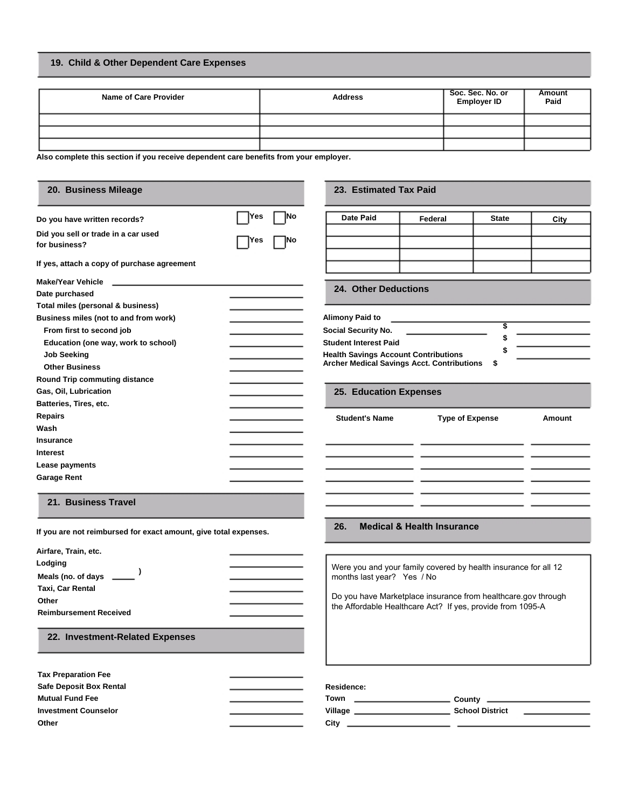### **19. Child & Other Dependent Care Expenses**

| <b>Name of Care Provider</b> | <b>Address</b> | Soc. Sec. No. or<br><b>Employer ID</b> | <b>Amount</b><br>Paid |
|------------------------------|----------------|----------------------------------------|-----------------------|
|                              |                |                                        |                       |
|                              |                |                                        |                       |
|                              |                |                                        |                       |

**Also complete this section if you receive dependent care benefits from your employer.** 

| 20. Business Mileage                                                |            | 23. Estimated Tax Paid                            |                                                                 |              |        |
|---------------------------------------------------------------------|------------|---------------------------------------------------|-----------------------------------------------------------------|--------------|--------|
| Do you have written records?                                        | No<br>Yes  | Date Paid                                         | Federal                                                         | <b>State</b> | City   |
| Did you sell or trade in a car used<br>for business?                | 1No<br>Yes |                                                   |                                                                 |              |        |
| If yes, attach a copy of purchase agreement                         |            |                                                   |                                                                 |              |        |
| <b>Make/Year Vehicle</b><br>participants in the control of the con- |            | <b>24. Other Deductions</b>                       |                                                                 |              |        |
| Date purchased                                                      |            |                                                   |                                                                 |              |        |
| Total miles (personal & business)                                   |            |                                                   |                                                                 |              |        |
| Business miles (not to and from work)                               |            | <b>Alimony Paid to</b>                            |                                                                 | 3            |        |
| From first to second job                                            |            | Social Security No.                               |                                                                 |              |        |
| Education (one way, work to school)                                 |            | <b>Student Interest Paid</b>                      |                                                                 |              |        |
| <b>Job Seeking</b>                                                  |            | <b>Health Savings Account Contributions</b>       |                                                                 |              |        |
| <b>Other Business</b>                                               |            | <b>Archer Medical Savings Acct. Contributions</b> |                                                                 | \$           |        |
| Round Trip commuting distance                                       |            |                                                   |                                                                 |              |        |
| Gas, Oil, Lubrication                                               |            | 25. Education Expenses                            |                                                                 |              |        |
| Batteries, Tires, etc.                                              |            |                                                   |                                                                 |              |        |
| <b>Repairs</b>                                                      |            | <b>Student's Name</b>                             | <b>Type of Expense</b>                                          |              | Amount |
| Wash                                                                |            |                                                   |                                                                 |              |        |
| <b>Insurance</b>                                                    |            |                                                   |                                                                 |              |        |
| Interest                                                            |            |                                                   |                                                                 |              |        |
| Lease payments                                                      |            |                                                   |                                                                 |              |        |
| <b>Garage Rent</b>                                                  |            |                                                   |                                                                 |              |        |
| 21. Business Travel                                                 |            |                                                   |                                                                 |              |        |
| If you are not reimbursed for exact amount, give total expenses.    |            | 26.                                               | <b>Medical &amp; Health Insurance</b>                           |              |        |
| Airfare, Train, etc.                                                |            |                                                   |                                                                 |              |        |
| Lodging                                                             |            |                                                   |                                                                 |              |        |
| Meals (no. of days ___                                              |            | months last year? Yes / No                        | Were you and your family covered by health insurance for all 12 |              |        |
| Taxi, Car Rental                                                    |            |                                                   |                                                                 |              |        |
| Other                                                               |            |                                                   | Do you have Marketplace insurance from healthcare.gov through   |              |        |
| <b>Reimbursement Received</b>                                       |            |                                                   | the Affordable Healthcare Act? If yes, provide from 1095-A      |              |        |
|                                                                     |            |                                                   |                                                                 |              |        |
| 22. Investment-Related Expenses                                     |            |                                                   |                                                                 |              |        |
|                                                                     |            |                                                   |                                                                 |              |        |
| <b>Tax Preparation Fee</b>                                          |            |                                                   |                                                                 |              |        |
| <b>Safe Deposit Box Rental</b>                                      |            | Residence:                                        |                                                                 |              |        |
| <b>Mutual Fund Fee</b>                                              |            |                                                   |                                                                 |              |        |
| <b>Investment Counselor</b>                                         |            |                                                   |                                                                 |              |        |
| Other                                                               |            |                                                   |                                                                 |              |        |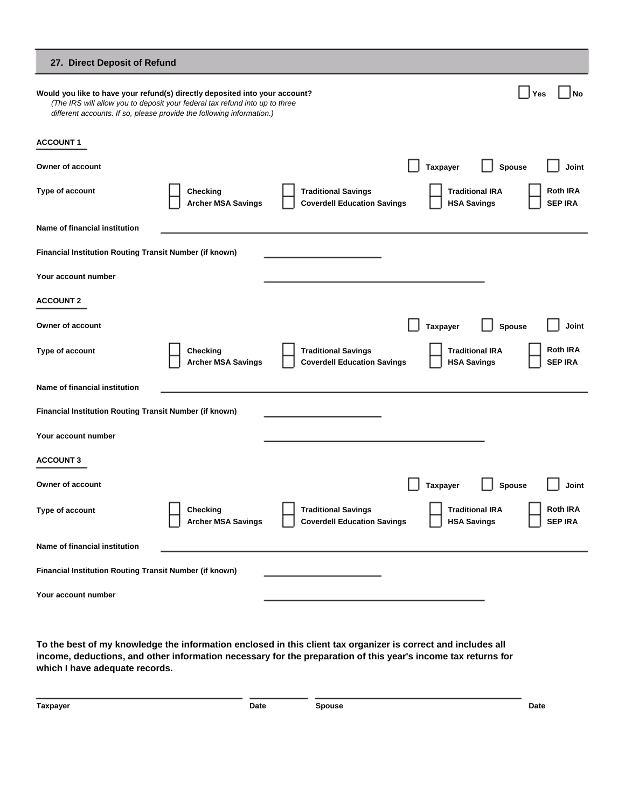| 27. Direct Deposit of Refund                                                                                                                                                                                                        |                                       |                                                                  |                                                                                   |
|-------------------------------------------------------------------------------------------------------------------------------------------------------------------------------------------------------------------------------------|---------------------------------------|------------------------------------------------------------------|-----------------------------------------------------------------------------------|
| Would you like to have your refund(s) directly deposited into your account?<br>(The IRS will allow you to deposit your federal tax refund into up to three<br>different accounts. If so, please provide the following information.) |                                       |                                                                  | <b>No</b><br>Yes                                                                  |
| <b>ACCOUNT 1</b>                                                                                                                                                                                                                    |                                       |                                                                  |                                                                                   |
| Owner of account                                                                                                                                                                                                                    |                                       |                                                                  | Taxpayer<br>Spouse<br>Joint                                                       |
| Type of account                                                                                                                                                                                                                     | Checking<br><b>Archer MSA Savings</b> | <b>Traditional Savings</b><br><b>Coverdell Education Savings</b> | <b>Roth IRA</b><br><b>Traditional IRA</b><br><b>SEP IRA</b><br><b>HSA Savings</b> |
| Name of financial institution                                                                                                                                                                                                       |                                       |                                                                  |                                                                                   |
| Financial Institution Routing Transit Number (if known)                                                                                                                                                                             |                                       |                                                                  |                                                                                   |
| Your account number                                                                                                                                                                                                                 |                                       |                                                                  |                                                                                   |
| <b>ACCOUNT 2</b>                                                                                                                                                                                                                    |                                       |                                                                  |                                                                                   |
| Owner of account                                                                                                                                                                                                                    |                                       |                                                                  | <b>Taxpayer</b><br>Spouse<br>Joint                                                |
| Type of account                                                                                                                                                                                                                     | Checking<br><b>Archer MSA Savings</b> | <b>Traditional Savings</b><br><b>Coverdell Education Savings</b> | <b>Roth IRA</b><br><b>Traditional IRA</b><br><b>SEP IRA</b><br><b>HSA Savings</b> |
| Name of financial institution                                                                                                                                                                                                       |                                       |                                                                  |                                                                                   |
| Financial Institution Routing Transit Number (if known)                                                                                                                                                                             |                                       |                                                                  |                                                                                   |
| Your account number                                                                                                                                                                                                                 |                                       |                                                                  |                                                                                   |
| <b>ACCOUNT 3</b>                                                                                                                                                                                                                    |                                       |                                                                  |                                                                                   |
| Owner of account                                                                                                                                                                                                                    |                                       |                                                                  | <b>Taxpayer</b><br>Spouse<br>Joint                                                |
| Type of account                                                                                                                                                                                                                     | Checking<br><b>Archer MSA Savings</b> | <b>Traditional Savings</b><br><b>Coverdell Education Savings</b> | <b>Roth IRA</b><br><b>Traditional IRA</b><br><b>SEP IRA</b><br><b>HSA Savings</b> |
| Name of financial institution                                                                                                                                                                                                       |                                       |                                                                  |                                                                                   |
| Financial Institution Routing Transit Number (if known)                                                                                                                                                                             |                                       |                                                                  |                                                                                   |
| Your account number                                                                                                                                                                                                                 |                                       |                                                                  |                                                                                   |

**To the best of my knowledge the information enclosed in this client tax organizer is correct and includes all income, deductions, and other information necessary for the preparation of this year's income tax returns for which I have adequate records.** 

| Taxpayer | Date | <b>Spouse</b> | Date<br>. |
|----------|------|---------------|-----------|
|----------|------|---------------|-----------|